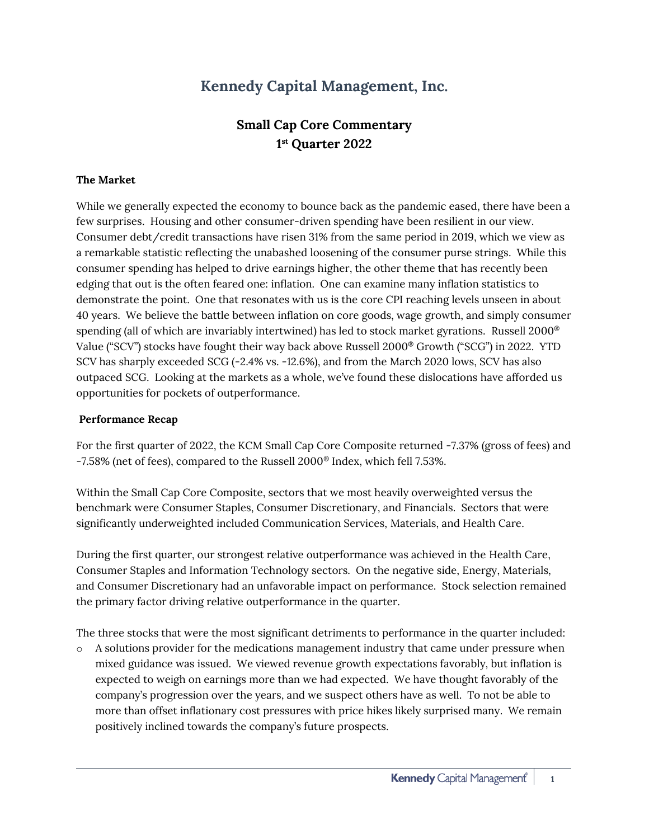# **Kennedy Capital Management, Inc.**

## **Small Cap Core Commentary 1 st Quarter 2022**

#### **The Market**

While we generally expected the economy to bounce back as the pandemic eased, there have been a few surprises. Housing and other consumer-driven spending have been resilient in our view. Consumer debt/credit transactions have risen 31% from the same period in 2019, which we view as a remarkable statistic reflecting the unabashed loosening of the consumer purse strings. While this consumer spending has helped to drive earnings higher, the other theme that has recently been edging that out is the often feared one: inflation. One can examine many inflation statistics to demonstrate the point. One that resonates with us is the core CPI reaching levels unseen in about 40 years. We believe the battle between inflation on core goods, wage growth, and simply consumer spending (all of which are invariably intertwined) has led to stock market gyrations. Russell 2000<sup>®</sup> Value ("SCV") stocks have fought their way back above Russell 2000® Growth ("SCG") in 2022. YTD SCV has sharply exceeded SCG (-2.4% vs. -12.6%), and from the March 2020 lows, SCV has also outpaced SCG. Looking at the markets as a whole, we've found these dislocations have afforded us opportunities for pockets of outperformance.

#### **Performance Recap**

For the first quarter of 2022, the KCM Small Cap Core Composite returned -7.37% (gross of fees) and -7.58% (net of fees), compared to the Russell 2000® Index, which fell 7.53%.

Within the Small Cap Core Composite, sectors that we most heavily overweighted versus the benchmark were Consumer Staples, Consumer Discretionary, and Financials. Sectors that were significantly underweighted included Communication Services, Materials, and Health Care.

During the first quarter, our strongest relative outperformance was achieved in the Health Care, Consumer Staples and Information Technology sectors. On the negative side, Energy, Materials, and Consumer Discretionary had an unfavorable impact on performance. Stock selection remained the primary factor driving relative outperformance in the quarter.

The three stocks that were the most significant detriments to performance in the quarter included:

o A solutions provider for the medications management industry that came under pressure when mixed guidance was issued. We viewed revenue growth expectations favorably, but inflation is expected to weigh on earnings more than we had expected. We have thought favorably of the company's progression over the years, and we suspect others have as well. To not be able to more than offset inflationary cost pressures with price hikes likely surprised many. We remain positively inclined towards the company's future prospects.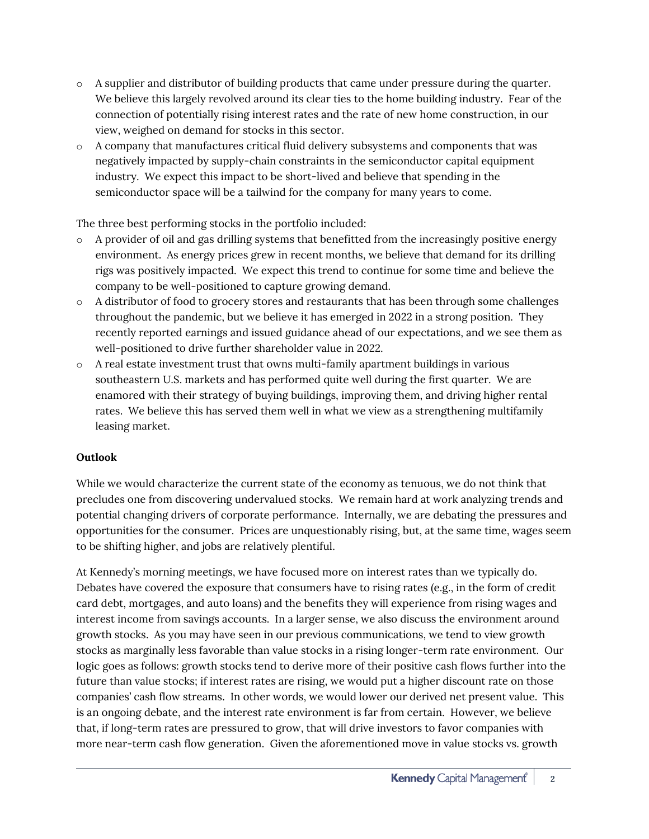- o A supplier and distributor of building products that came under pressure during the quarter. We believe this largely revolved around its clear ties to the home building industry. Fear of the connection of potentially rising interest rates and the rate of new home construction, in our view, weighed on demand for stocks in this sector.
- o A company that manufactures critical fluid delivery subsystems and components that was negatively impacted by supply-chain constraints in the semiconductor capital equipment industry. We expect this impact to be short-lived and believe that spending in the semiconductor space will be a tailwind for the company for many years to come.

The three best performing stocks in the portfolio included:

- o A provider of oil and gas drilling systems that benefitted from the increasingly positive energy environment. As energy prices grew in recent months, we believe that demand for its drilling rigs was positively impacted. We expect this trend to continue for some time and believe the company to be well-positioned to capture growing demand.
- o A distributor of food to grocery stores and restaurants that has been through some challenges throughout the pandemic, but we believe it has emerged in 2022 in a strong position. They recently reported earnings and issued guidance ahead of our expectations, and we see them as well-positioned to drive further shareholder value in 2022.
- $\circ$  A real estate investment trust that owns multi-family apartment buildings in various southeastern U.S. markets and has performed quite well during the first quarter. We are enamored with their strategy of buying buildings, improving them, and driving higher rental rates. We believe this has served them well in what we view as a strengthening multifamily leasing market.

### **Outlook**

While we would characterize the current state of the economy as tenuous, we do not think that precludes one from discovering undervalued stocks. We remain hard at work analyzing trends and potential changing drivers of corporate performance. Internally, we are debating the pressures and opportunities for the consumer. Prices are unquestionably rising, but, at the same time, wages seem to be shifting higher, and jobs are relatively plentiful.

At Kennedy's morning meetings, we have focused more on interest rates than we typically do. Debates have covered the exposure that consumers have to rising rates (e.g., in the form of credit card debt, mortgages, and auto loans) and the benefits they will experience from rising wages and interest income from savings accounts. In a larger sense, we also discuss the environment around growth stocks. As you may have seen in our previous communications, we tend to view growth stocks as marginally less favorable than value stocks in a rising longer-term rate environment. Our logic goes as follows: growth stocks tend to derive more of their positive cash flows further into the future than value stocks; if interest rates are rising, we would put a higher discount rate on those companies' cash flow streams. In other words, we would lower our derived net present value. This is an ongoing debate, and the interest rate environment is far from certain. However, we believe that, if long-term rates are pressured to grow, that will drive investors to favor companies with more near-term cash flow generation. Given the aforementioned move in value stocks vs. growth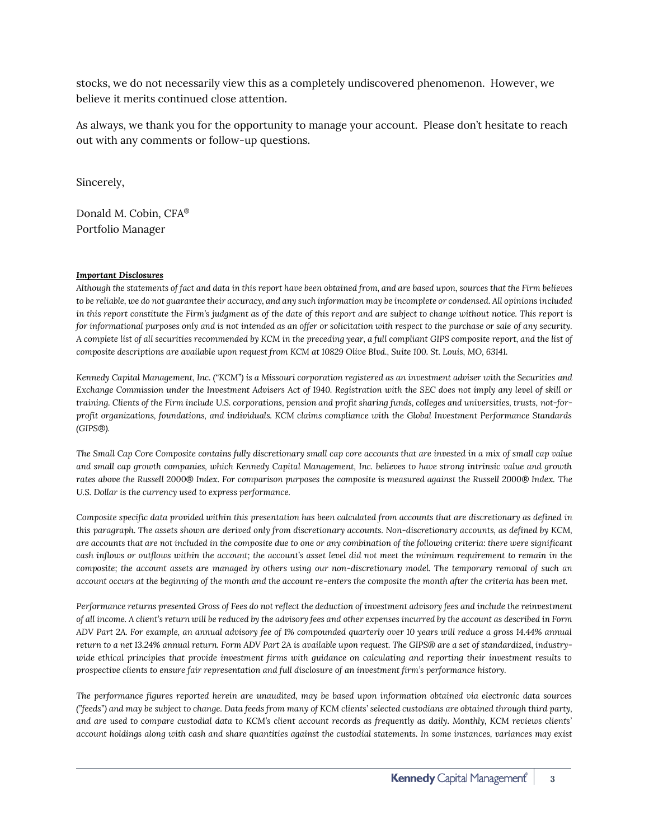stocks, we do not necessarily view this as a completely undiscovered phenomenon. However, we believe it merits continued close attention.

As always, we thank you for the opportunity to manage your account. Please don't hesitate to reach out with any comments or follow-up questions.

Sincerely,

Donald M. Cobin, CFA® Portfolio Manager

#### *Important Disclosures*

*Although the statements of fact and data in this report have been obtained from, and are based upon, sources that the Firm believes to be reliable, we do not guarantee their accuracy, and any such information may be incomplete or condensed. All opinions included in this report constitute the Firm's judgment as of the date of this report and are subject to change without notice. This report is for informational purposes only and is not intended as an offer or solicitation with respect to the purchase or sale of any security. A complete list of all securities recommended by KCM in the preceding year, a full compliant GIPS composite report, and the list of composite descriptions are available upon request from KCM at 10829 Olive Blvd., Suite 100. St. Louis, MO, 63141.* 

*Kennedy Capital Management, Inc. ("KCM") is a Missouri corporation registered as an investment adviser with the Securities and Exchange Commission under the Investment Advisers Act of 1940. Registration with the SEC does not imply any level of skill or training. Clients of the Firm include U.S. corporations, pension and profit sharing funds, colleges and universities, trusts, not-forprofit organizations, foundations, and individuals. KCM claims compliance with the Global Investment Performance Standards (GIPS®).*

*The Small Cap Core Composite contains fully discretionary small cap core accounts that are invested in a mix of small cap value and small cap growth companies, which Kennedy Capital Management, Inc. believes to have strong intrinsic value and growth rates above the Russell 2000® Index. For comparison purposes the composite is measured against the Russell 2000® Index. The U.S. Dollar is the currency used to express performance.*

*Composite specific data provided within this presentation has been calculated from accounts that are discretionary as defined in this paragraph. The assets shown are derived only from discretionary accounts. Non-discretionary accounts, as defined by KCM, are accounts that are not included in the composite due to one or any combination of the following criteria: there were significant cash inflows or outflows within the account; the account's asset level did not meet the minimum requirement to remain in the composite; the account assets are managed by others using our non-discretionary model. The temporary removal of such an account occurs at the beginning of the month and the account re-enters the composite the month after the criteria has been met.*

*Performance returns presented Gross of Fees do not reflect the deduction of investment advisory fees and include the reinvestment of all income. A client's return will be reduced by the advisory fees and other expenses incurred by the account as described in Form ADV Part 2A. For example, an annual advisory fee of 1% compounded quarterly over 10 years will reduce a gross 14.44% annual return to a net 13.24% annual return. Form ADV Part 2A is available upon request. The GIPS® are a set of standardized, industrywide ethical principles that provide investment firms with guidance on calculating and reporting their investment results to prospective clients to ensure fair representation and full disclosure of an investment firm's performance history.*

*The performance figures reported herein are unaudited, may be based upon information obtained via electronic data sources ("feeds") and may be subject to change. Data feeds from many of KCM clients' selected custodians are obtained through third party, and are used to compare custodial data to KCM's client account records as frequently as daily. Monthly, KCM reviews clients' account holdings along with cash and share quantities against the custodial statements. In some instances, variances may exist*